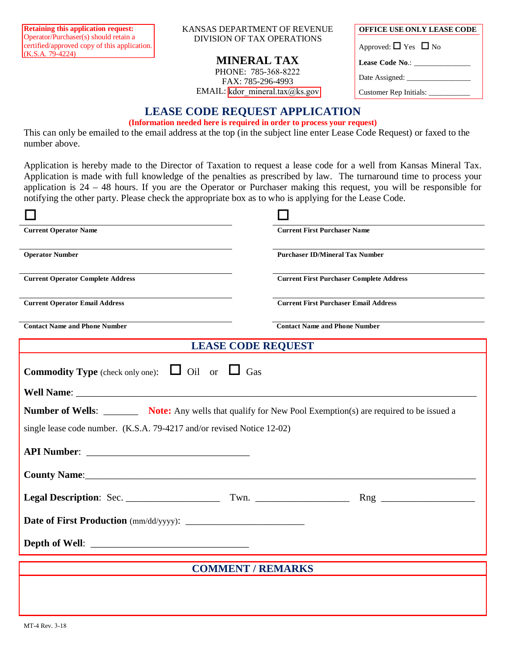Operator/Purchaser(s) should retain a certified/approved copy of this application.  $(K.S.A. 79-4224)$ 

Retaining this application request: **NANSAS DEPARTMENT OF REVENUE OFFICE USE ONLY LEASE CODE** DIVISION OF TAX OPERATIONS

## **MINERAL TAX**

PHONE: 785-368-8222 FAX: 785-296-4993 EMAIL: [kdor\\_mineral.tax@ks.gov](kdor_mineral.tax@ks.gov)

| <b>OFFICE USE ONLY LEASE CODE</b>   |  |  |
|-------------------------------------|--|--|
| Approved: $\Box$ Yes $\Box$ No      |  |  |
| Lease Code No.: ___________         |  |  |
|                                     |  |  |
| Customer Rep Initials: ____________ |  |  |
|                                     |  |  |

## **LEASE CODE REQUEST APPLICATION**

## **(Information needed here is required in order to process your request)**

This can only be emailed to the email address at the top (in the subject line enter Lease Code Request) or faxed to the number above.

Application is hereby made to the Director of Taxation to request a lease code for a well from Kansas Mineral Tax. Application is made with full knowledge of the penalties as prescribed by law. The turnaround time to process your application is 24 – 48 hours. If you are the Operator or Purchaser making this request, you will be responsible for notifying the other party. Please check the appropriate box as to who is applying for the Lease Code.

| <b>Current Operator Name</b>                                                                                                                                                                                                   | <b>Current First Purchaser Name</b>             |  |
|--------------------------------------------------------------------------------------------------------------------------------------------------------------------------------------------------------------------------------|-------------------------------------------------|--|
| <b>Operator Number</b>                                                                                                                                                                                                         | <b>Purchaser ID/Mineral Tax Number</b>          |  |
| <b>Current Operator Complete Address</b>                                                                                                                                                                                       | <b>Current First Purchaser Complete Address</b> |  |
| <b>Current Operator Email Address</b>                                                                                                                                                                                          | <b>Current First Purchaser Email Address</b>    |  |
| <b>Contact Name and Phone Number</b>                                                                                                                                                                                           | <b>Contact Name and Phone Number</b>            |  |
| <b>LEASE CODE REQUEST</b>                                                                                                                                                                                                      |                                                 |  |
| <b>Commodity Type</b> (check only one): $\Box$ Oil or $\Box$ Gas                                                                                                                                                               |                                                 |  |
| Well Name: New York and Service Services and Services and Services and Services and Services and Services and Services and Services and Services and Services and Services and Services and Services and Services and Services |                                                 |  |
| Number of Wells: Note: Any wells that qualify for New Pool Exemption(s) are required to be issued a                                                                                                                            |                                                 |  |
| single lease code number. (K.S.A. 79-4217 and/or revised Notice 12-02)                                                                                                                                                         |                                                 |  |
|                                                                                                                                                                                                                                |                                                 |  |
|                                                                                                                                                                                                                                |                                                 |  |
|                                                                                                                                                                                                                                |                                                 |  |
|                                                                                                                                                                                                                                |                                                 |  |
|                                                                                                                                                                                                                                |                                                 |  |
| <b>COMMENT / REMARKS</b>                                                                                                                                                                                                       |                                                 |  |
|                                                                                                                                                                                                                                |                                                 |  |
|                                                                                                                                                                                                                                |                                                 |  |